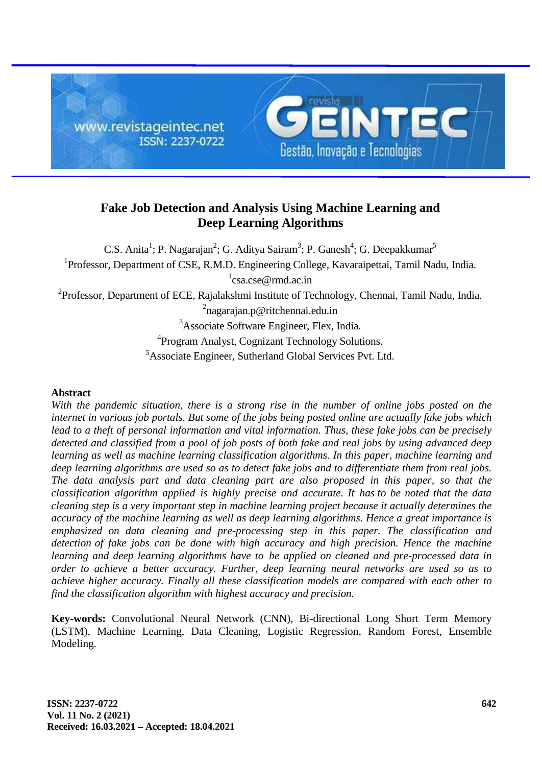

# **Fake Job Detection and Analysis Using Machine Learning and Deep Learning Algorithms**

C.S. Anita<sup>1</sup>; P. Nagarajan<sup>2</sup>; G. Aditya Sairam<sup>3</sup>; P. Ganesh<sup>4</sup>; G. Deepakkumar<sup>5</sup> <sup>1</sup>Professor, Department of CSE, R.M.D. Engineering College, Kavaraipettai, Tamil Nadu, India. 1 [csa.cse@rmd.ac.in](mailto:csa.cse@rmd.ac.in)

<sup>2</sup>Professor, Department of ECE, Rajalakshmi Institute of Technology, Chennai, Tamil Nadu, India.

<sup>2</sup>nagarajan.p@ritchennai.edu.in

<sup>3</sup>Associate Software Engineer, Flex, India.

<sup>4</sup> Program Analyst, Cognizant Technology Solutions.

<sup>5</sup>Associate Engineer, Sutherland Global Services Pvt. Ltd.

### **Abstract**

*With the pandemic situation, there is a strong rise in the number of online jobs posted on the internet in various job portals. But some of the jobs being posted online are actually fake jobs which lead to a theft of personal information and vital information. Thus, these fake jobs can be precisely detected and classified from a pool of job posts of both fake and real jobs by using advanced deep learning as well as machine learning classification algorithms. In this paper, machine learning and deep learning algorithms are used so as to detect fake jobs and to differentiate them from real jobs. The data analysis part and data cleaning part are also proposed in this paper, so that the classification algorithm applied is highly precise and accurate. It has to be noted that the data cleaning step is a very important step in machine learning project because it actually determines the accuracy of the machine learning as well as deep learning algorithms. Hence a great importance is emphasized on data cleaning and pre-processing step in this paper. The classification and detection of fake jobs can be done with high accuracy and high precision. Hence the machine learning and deep learning algorithms have to be applied on cleaned and pre-processed data in order to achieve a better accuracy. Further, deep learning neural networks are used so as to achieve higher accuracy. Finally all these classification models are compared with each other to find the classification algorithm with highest accuracy and precision.*

**Key-words:** Convolutional Neural Network (CNN), Bi-directional Long Short Term Memory (LSTM), Machine Learning, Data Cleaning, Logistic Regression, Random Forest, Ensemble Modeling.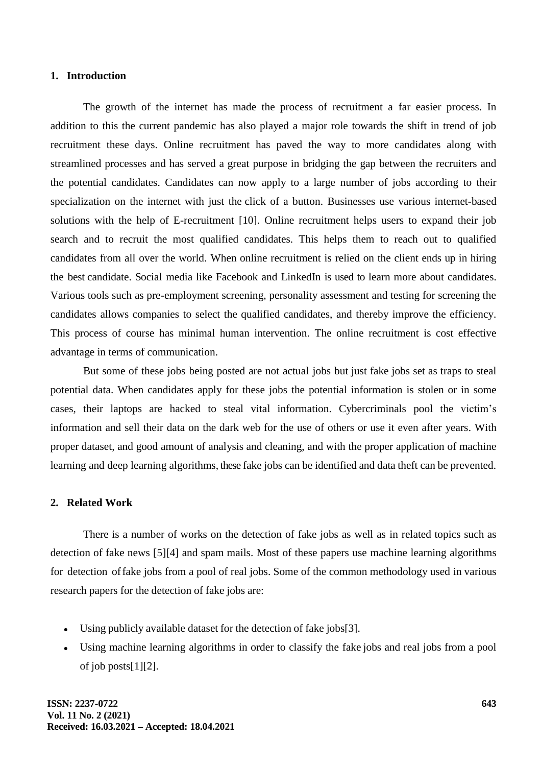#### **1. Introduction**

The growth of the internet has made the process of recruitment a far easier process. In addition to this the current pandemic has also played a major role towards the shift in trend of job recruitment these days. Online recruitment has paved the way to more candidates along with streamlined processes and has served a great purpose in bridging the gap between the recruiters and the potential candidates. Candidates can now apply to a large number of jobs according to their specialization on the internet with just the click of a button. Businesses use various internet-based solutions with the help of E-recruitment [10]. Online recruitment helps users to expand their job search and to recruit the most qualified candidates. This helps them to reach out to qualified candidates from all over the world. When online recruitment is relied on the client ends up in hiring the best candidate. Social media like Facebook and LinkedIn is used to learn more about candidates. Various tools such as pre-employment screening, personality assessment and testing for screening the candidates allows companies to select the qualified candidates, and thereby improve the efficiency. This process of course has minimal human intervention. The online recruitment is cost effective advantage in terms of communication.

But some of these jobs being posted are not actual jobs but just fake jobs set as traps to steal potential data. When candidates apply for these jobs the potential information is stolen or in some cases, their laptops are hacked to steal vital information. Cybercriminals pool the victim's information and sell their data on the dark web for the use of others or use it even after years. With proper dataset, and good amount of analysis and cleaning, and with the proper application of machine learning and deep learning algorithms, these fake jobs can be identified and data theft can be prevented.

### **2. Related Work**

There is a number of works on the detection of fake jobs as well as in related topics such as detection of fake news [5][4] and spam mails. Most of these papers use machine learning algorithms for detection offake jobs from a pool of real jobs. Some of the common methodology used in various research papers for the detection of fake jobs are:

- Using publicly available dataset for the detection of fake jobs[3].
- Using machine learning algorithms in order to classify the fake jobs and real jobs from a pool of job posts[1][2].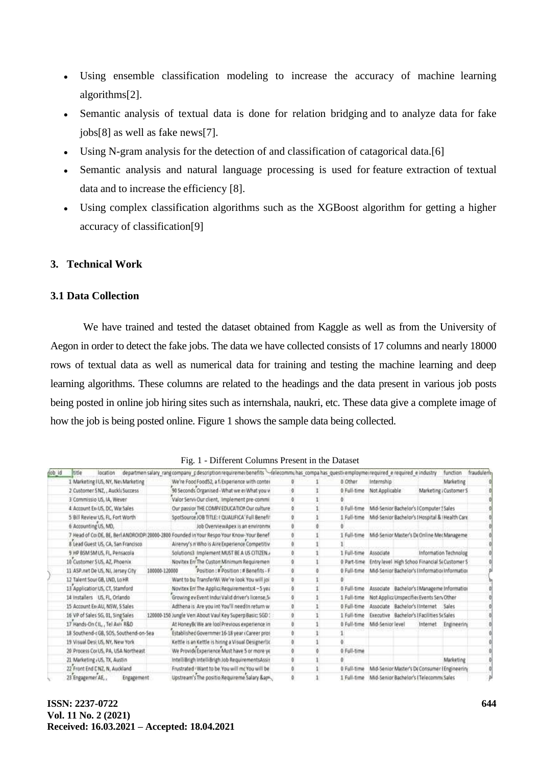- Using ensemble classification modeling to increase the accuracy of machine learning algorithms[2].
- Semantic analysis of textual data is done for relation bridging and to analyze data for fake jobs[8] as well as fake news[7].
- Using N-gram analysis for the detection of and classification of catagorical data.[6]
- Semantic analysis and natural language processing is used for feature extraction of textual data and to increase the efficiency [8].
- Using complex classification algorithms such as the XGBoost algorithm for getting a higher accuracy of classification[9]

# **3. Technical Work**

## **3.1 Data Collection**

We have trained and tested the dataset obtained from Kaggle as well as from the University of Aegon in order to detect the fake jobs. The data we have collected consists of 17 columns and nearly 18000 rows of textual data as well as numerical data for training and testing the machine learning and deep learning algorithms. These columns are related to the headings and the data present in various job posts being posted in online job hiring sites such as internshala, naukri, etc. These data give a complete image of how the job is being posted online. Figure 1 shows the sample data being collected.

| job id | ltitle<br>location                                                                         |               | departmen salary rang company pdescription requiremer benefits - felecommunas compa has questi-employme required e required e industry |   |             |                                                  |                                           | function                                         | fraudulent |
|--------|--------------------------------------------------------------------------------------------|---------------|----------------------------------------------------------------------------------------------------------------------------------------|---|-------------|--------------------------------------------------|-------------------------------------------|--------------------------------------------------|------------|
|        | 1 Marketing IUS, NY, Nei Marketing                                                         |               | We're Food Food52, a f. Experience with conter                                                                                         |   | 8 Other     | Internship                                       |                                           | Marketing                                        |            |
|        | 2 Customer SNZ, , Auckli Success                                                           |               | 90 Seconds Organised - What we er What you v                                                                                           |   |             | 0 Full-time Not Applicable                       |                                           | Marketing : Customer S                           |            |
|        | 3 Commissio US, IA, Wever                                                                  |               | Valor Servi Our dient, Implement pre-commi                                                                                             |   |             |                                                  |                                           |                                                  |            |
|        | 4 Account Ex-US, DC, Wa Sales                                                              |               | Our passior THE COMP/ EDUCATION Our culture                                                                                            |   | 0 Full-time |                                                  | Mid-Senior Bachelor's I Computer 5 Sales  |                                                  |            |
|        | 5 Bill Review US, FL, Fort Worth                                                           |               | SpotSource JOB TITLE: I QUALIFICA' Full Benefit                                                                                        |   | 1 Full-time |                                                  |                                           | Mid-Senior Bachelor's I Hospital & i Health Care |            |
|        | 6 Accounting US, MD,                                                                       |               | Job OverviewApex is an environme.                                                                                                      |   |             |                                                  |                                           |                                                  |            |
|        | 7 Head of Coi DE, BE, Berl ANDROIDPI 20000-2800 Founded in Your Respo Your Know-Your Benef |               |                                                                                                                                        |   | 1 Full-time |                                                  |                                           | Mid-Senior Master's DeOnline MecManageme         |            |
|        | 8 Lead Guest US, CA, San Francisco                                                         |               | Airenvy's n Who is Aire Experience Competitiv                                                                                          |   |             |                                                  |                                           |                                                  |            |
|        | 9 HP BSM SM US, FL, Pensacola                                                              |               | Solutions3 Implement MUST BE A US CITIZEN.                                                                                             |   | 1 Full-time | Associate                                        |                                           | Information Technolog                            |            |
|        | 10 Customer S US, AZ, Phoenix                                                              |               | Novitex En: The Custon Minimum Requiremen                                                                                              |   | 0 Part-time |                                                  |                                           | Entry level High Schoo Financial ScCustomer S    |            |
|        | 11 ASP.net De US, NJ, Jersey City                                                          | 100000-120000 | Position:#Position:#Benefits+F                                                                                                         |   | 0 Full-time |                                                  |                                           | Mid-Senior Bachelor's Einformation information   |            |
|        | 12 Talent Sour GB, LND, Lo HR                                                              |               | Want to bu TransferWi We're look You will joi                                                                                          |   |             |                                                  |                                           |                                                  |            |
|        | 13 Application US, CT, Stamford                                                            |               | Novitex En: The Applic: Requirements:4 ~ 5 yes                                                                                         |   | 0 Full-time |                                                  |                                           | Associate Bachelor's I Manageme Information      |            |
|        | 14 Installers US, FL, Orlando                                                              |               | Growing ev Event Indu: Valid driver's license, S-                                                                                      | o | 1 Full-time |                                                  | Not Applica Unspecifier Events Serv Other |                                                  |            |
|        | 15 Account Ex-AU, NSW, S Sales                                                             |               | Adthena is Are you int You'll need in return w.                                                                                        | n | 0 Full-time |                                                  | Associate Bachelor's Hinternet Sales      |                                                  |            |
|        | 16 VP of Sales 5G, 01, Sing Sales                                                          |               | 120000-150 Jungle Ven About Vaul Key Superp Basic: SGD:                                                                                |   | 1 Full-time |                                                  | Executive Bachelor's IFacilities ScSales  |                                                  |            |
|        | 17 Hands-On CIL, Tel Avii R&D                                                              |               | At HoneyB: We are lool Previous experience in                                                                                          |   | 0 Full-time | Mid-Senior level                                 | Internet                                  | Engineering                                      |            |
|        | 18 Southend-r GB, SOS, Southend-on-Sea                                                     |               | Established Governmer 16-18 year (Career pros-                                                                                         |   |             |                                                  |                                           |                                                  |            |
|        | 19 Visual Desi US, NY, New York                                                            |               | Kettle is an Kettle is hiring a Visual Designer IIc                                                                                    |   |             |                                                  |                                           |                                                  |            |
|        | 20 Process Cor US, PA, USA Northeast                                                       |               | We Provide Experience Must have 5 or more ye                                                                                           |   | 0 Full-time |                                                  |                                           |                                                  |            |
|        | 21 Marketing - US, TX, Austin                                                              |               | IntelliBrigh IntelliBrigh Job RequirementsAssit                                                                                        |   |             |                                                  |                                           | Marketing                                        |            |
|        | 22 Front End CNZ, N, Auckland                                                              |               | Frustrated . Want to be You will mc You will be                                                                                        |   | 0 Full-time |                                                  |                                           | Mid-Senior Master's Dr Consumer (Engineering     |            |
|        | 23 Engagemer AF<br>Engagement                                                              |               | Unstream's The nositio Requireme Salary &am.                                                                                           |   |             | Full-time Mid-Senior Barbelor's (Telecommi Sales |                                           |                                                  |            |

Fig. 1 - Different Columns Present in the Dataset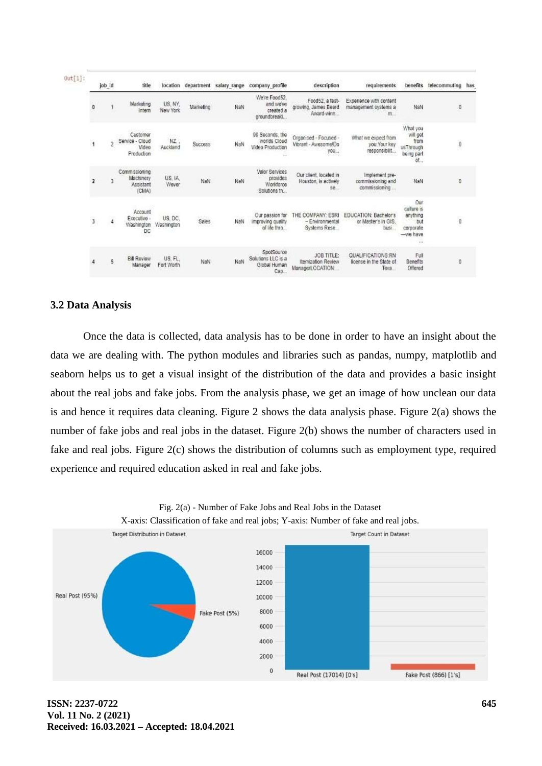| $0$ ut[1]: |                         | envourn<br>job_id | title                                              | location                   | department                | salary range | company profile                                                      | description                                                        | requirements                                                | benefits                                                                         | telecommuting    | has |
|------------|-------------------------|-------------------|----------------------------------------------------|----------------------------|---------------------------|--------------|----------------------------------------------------------------------|--------------------------------------------------------------------|-------------------------------------------------------------|----------------------------------------------------------------------------------|------------------|-----|
|            | 0                       |                   | Marketing<br>Intern                                | US, NY,<br>New York        | Marketing                 | NaN          | We're Food52.<br>and we've<br>created a<br>groundbreakl              | Food52, a fast-<br>growing, James Beard<br>Award-winn              | Experience with content<br>management systems a<br>m.       | <b>SCHOOL</b><br>NaN                                                             | O                |     |
|            | 1                       |                   | Customer<br>Service - Cloud<br>Video<br>Production | san dia<br>NZ.<br>Auckland | Success                   | NaN          | 90 Seconds, the<br>worlds Cloud<br>Video Production<br>$\frac{1}{2}$ | Organised - Focused -<br>Vibrant - Awssome!Do<br>you<br>2008-09-02 | What we expect from<br>you. Your key<br>responsibilit       | What you<br>will get<br>from<br>usThrough<br>being part<br>01                    | $\boldsymbol{0}$ |     |
|            | $\overline{\mathbf{z}}$ |                   | Commissioning<br>Machinery<br>Assistant<br>(CMA)   | US. IA.<br>Wever           | NaN                       | NaN          | Valor Services<br>provides<br>Workforce<br>Solutions th              | Our client, located in<br>Houston, is actively<br>se.              | Implement pre-<br>commissioning and<br>commissioning        | NaN                                                                              | O                |     |
|            | 3                       | $\hat{4}$         | Account<br>Executive -<br>Washington<br>DC         | US, DC,<br>Washington      | 88559<br>Sales<br>1120531 | NaN          | Our passion for<br>improving quality<br>of life thro                 | THE COMPANY: ESR<br>- Environmental<br>Systems Rese                | EDUCATION: Bachelor's<br>or Master's in GIS.<br>busi        | Our<br>culture is<br>anything<br>but<br>corporate<br>$-$ we have<br>$\mathbf{r}$ | 0                |     |
|            | 4                       | 5                 | <b>Bill Review</b><br>Manager                      | US. FL.<br>Fort Worth      | NaN                       | NaN          | SpotSource<br>Solutions LLC is a<br>Global Human<br>Cap              | JOB TITLE:<br>Itemization Review<br>ManagerLOCATION                | <b>QUALIFICATIONS:RN</b><br>license in the State of<br>Теха | m<br>Full<br>Benefits<br>Offered                                                 | O                |     |

### **3.2 Data Analysis**

Once the data is collected, data analysis has to be done in order to have an insight about the data we are dealing with. The python modules and libraries such as pandas, numpy, matplotlib and seaborn helps us to get a visual insight of the distribution of the data and provides a basic insight about the real jobs and fake jobs. From the analysis phase, we get an image of how unclean our data is and hence it requires data cleaning. Figure 2 shows the data analysis phase. Figure 2(a) shows the number of fake jobs and real jobs in the dataset. Figure 2(b) shows the number of characters used in fake and real jobs. Figure 2(c) shows the distribution of columns such as employment type, required experience and required education asked in real and fake jobs.



Fig. 2(a) - Number of Fake Jobs and Real Jobs in the Dataset X-axis: Classification of fake and real jobs; Y-axis: Number of fake and real jobs.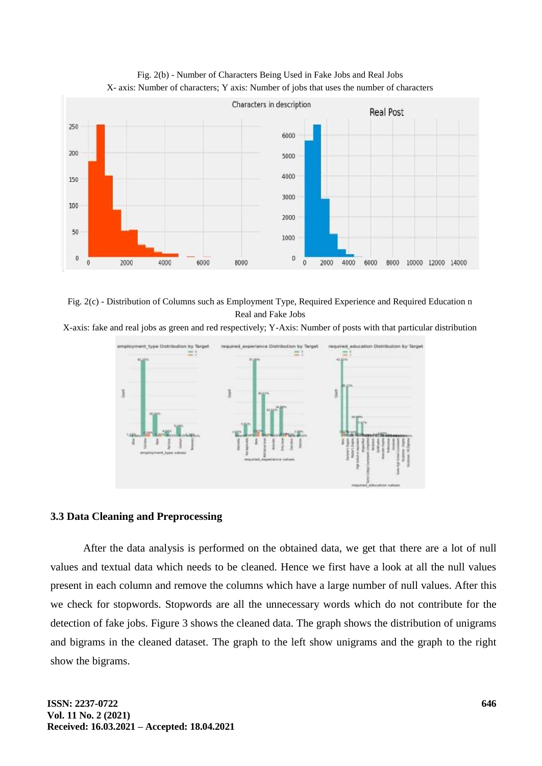

Fig. 2(b) - Number of Characters Being Used in Fake Jobs and Real Jobs X- axis: Number of characters; Y axis: Number of jobs that uses the number of characters

Fig. 2(c) - Distribution of Columns such as Employment Type, Required Experience and Required Education n Real and Fake Jobs

X-axis: fake and real jobs as green and red respectively; Y-Axis: Number of posts with that particular distribution



### **3.3 Data Cleaning and Preprocessing**

After the data analysis is performed on the obtained data, we get that there are a lot of null values and textual data which needs to be cleaned. Hence we first have a look at all the null values present in each column and remove the columns which have a large number of null values. After this we check for stopwords. Stopwords are all the unnecessary words which do not contribute for the detection of fake jobs. Figure 3 shows the cleaned data. The graph shows the distribution of unigrams and bigrams in the cleaned dataset. The graph to the left show unigrams and the graph to the right show the bigrams.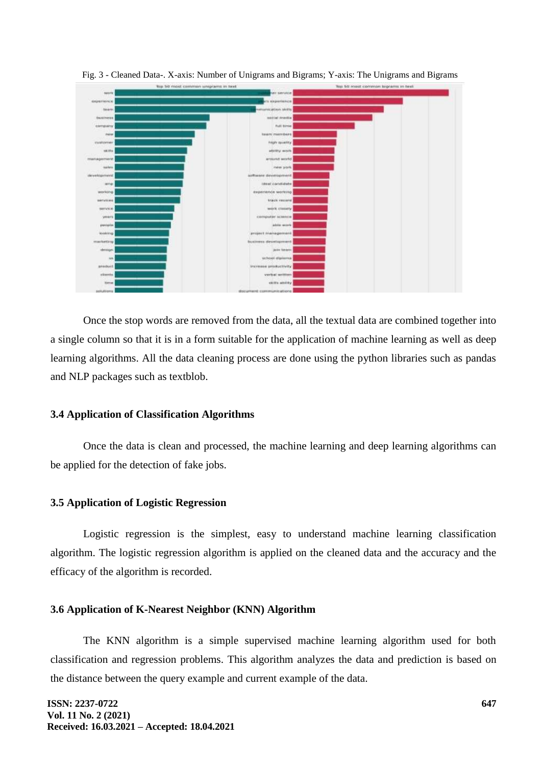

Fig. 3 - Cleaned Data-. X-axis: Number of Unigrams and Bigrams; Y-axis: The Unigrams and Bigrams

Once the stop words are removed from the data, all the textual data are combined together into a single column so that it is in a form suitable for the application of machine learning as well as deep learning algorithms. All the data cleaning process are done using the python libraries such as pandas and NLP packages such as textblob.

### **3.4 Application of Classification Algorithms**

Once the data is clean and processed, the machine learning and deep learning algorithms can be applied for the detection of fake jobs.

### **3.5 Application of Logistic Regression**

Logistic regression is the simplest, easy to understand machine learning classification algorithm. The logistic regression algorithm is applied on the cleaned data and the accuracy and the efficacy of the algorithm is recorded.

#### **3.6 Application of K-Nearest Neighbor (KNN) Algorithm**

The KNN algorithm is a simple supervised machine learning algorithm used for both classification and regression problems. This algorithm analyzes the data and prediction is based on the distance between the query example and current example of the data.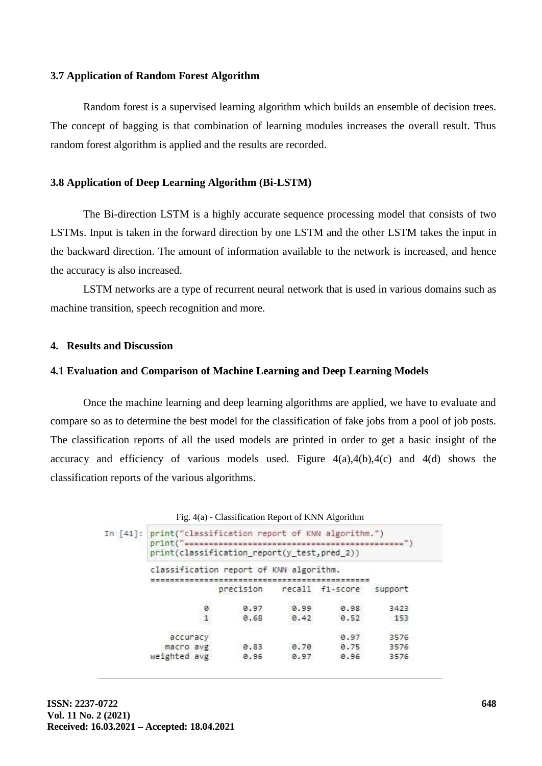#### **3.7 Application of Random Forest Algorithm**

Random forest is a supervised learning algorithm which builds an ensemble of decision trees. The concept of bagging is that combination of learning modules increases the overall result. Thus random forest algorithm is applied and the results are recorded.

#### **3.8 Application of Deep Learning Algorithm (Bi-LSTM)**

The Bi-direction LSTM is a highly accurate sequence processing model that consists of two LSTMs. Input is taken in the forward direction by one LSTM and the other LSTM takes the input in the backward direction. The amount of information available to the network is increased, and hence the accuracy is also increased.

LSTM networks are a type of recurrent neural network that is used in various domains such as machine transition, speech recognition and more.

### **4. Results and Discussion**

#### **4.1 Evaluation and Comparison of Machine Learning and Deep Learning Models**

Once the machine learning and deep learning algorithms are applied, we have to evaluate and compare so as to determine the best model for the classification of fake jobs from a pool of job posts. The classification reports of all the used models are printed in order to get a basic insight of the accuracy and efficiency of various models used. Figure  $4(a)$ , $4(b)$ , $4(c)$  and  $4(d)$  shows the classification reports of the various algorithms.

|  | Fig. 4(a) - Classification Report of KNN Algorithm |  |
|--|----------------------------------------------------|--|
|  |                                                    |  |

|  | In [41]: print("classification report of KNN algorithm.")<br>print(classification_report(y_test,pred_2)) |   |           |      |                 |         |  |  |  |
|--|----------------------------------------------------------------------------------------------------------|---|-----------|------|-----------------|---------|--|--|--|
|  | classification report of KNN algorithm.                                                                  |   |           |      |                 |         |  |  |  |
|  |                                                                                                          |   | precision |      | recall fi-score | support |  |  |  |
|  |                                                                                                          | 8 | 0.97      | 8.99 | 0.98            | 3423    |  |  |  |
|  |                                                                                                          |   | 0.68      | 8.42 | 0.52            | 153     |  |  |  |
|  | accuracy                                                                                                 |   |           |      | 0.97            | 3576    |  |  |  |
|  | macro avg                                                                                                |   | 0.83      | 8.70 | 0.75            | 3576    |  |  |  |
|  | weighted avg                                                                                             |   | 0.96      | 0.97 | 0.96            | 3576    |  |  |  |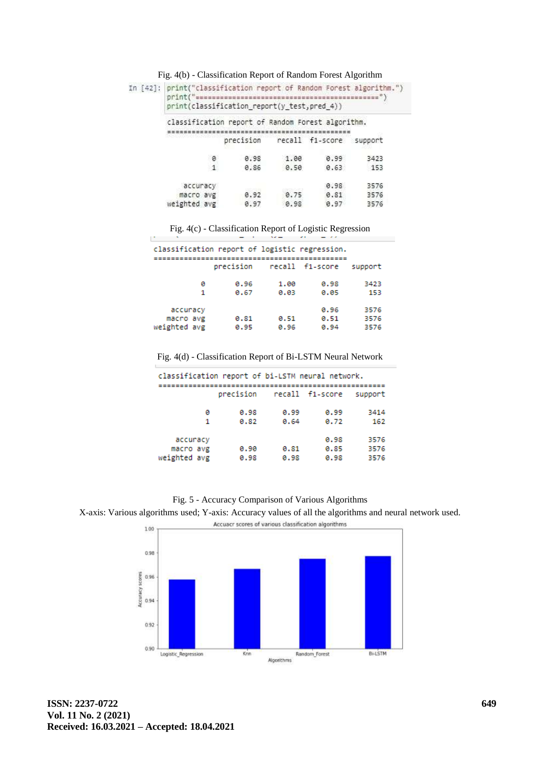| In [42]: print("classification report of Random Forest algorithm.")<br>print("sessassessassessassessassessassessassessass")<br>print(classification report(y test, pred 4)) |                                   |      |      |      |  |  |  |  |
|-----------------------------------------------------------------------------------------------------------------------------------------------------------------------------|-----------------------------------|------|------|------|--|--|--|--|
| classification report of Random Forest algorithm.                                                                                                                           |                                   |      |      |      |  |  |  |  |
|                                                                                                                                                                             | precision recall f1-score support |      |      |      |  |  |  |  |
| ø                                                                                                                                                                           | 0.98                              | 1.00 | 0.99 | 3423 |  |  |  |  |
|                                                                                                                                                                             | 0.86                              | 0.50 | 0.63 | 153  |  |  |  |  |
| accuracy                                                                                                                                                                    |                                   |      | 0.98 | 3576 |  |  |  |  |
| macro avg                                                                                                                                                                   | 0.92                              | 8.75 | 0.81 | 3576 |  |  |  |  |
| weighted avg                                                                                                                                                                | 0.97                              | 0.98 | 0.97 | 3576 |  |  |  |  |

Fig. 4(c) - Classification Report of Logistic Regression

| classification report of logistic regression. |              |              |                      |                      |
|-----------------------------------------------|--------------|--------------|----------------------|----------------------|
|                                               | precision    |              | recall f1-score      | support              |
| ø<br>1                                        | 8.96<br>0.67 | 1.00<br>0.03 | 0.98<br>0.05         | 3423<br>153          |
| accuracy<br>macro avg<br>weighted avg         | 0.81<br>0.95 | 0.51<br>0.96 | 0.96<br>0.51<br>0.94 | 3576<br>3576<br>3576 |

Fig. 4(d) - Classification Report of Bi-LSTM Neural Network

| classification report of bi-LSTM neural network. |           |      |                 |         |  |  |  |  |
|--------------------------------------------------|-----------|------|-----------------|---------|--|--|--|--|
|                                                  | precision |      | recall f1-score | support |  |  |  |  |
| ø                                                | 0.98      | 0.99 | 0.99            | 3414    |  |  |  |  |
| 1                                                | 0.82      | 0.64 | 0.72            | 162     |  |  |  |  |
| accuracy                                         |           |      | 0.98            | 3576    |  |  |  |  |
| macro avg                                        | 0.90      | 0.81 | 0.85            | 3576    |  |  |  |  |
| weighted avg                                     | 0.98      | 0.98 | 0.98            | 3576    |  |  |  |  |

Fig. 5 - Accuracy Comparison of Various Algorithms





p.